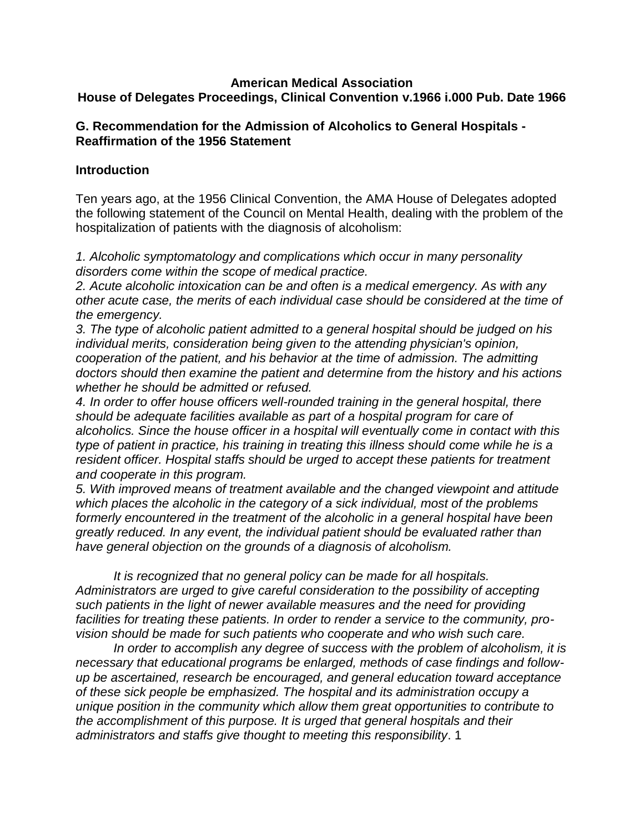### **American Medical Association House of Delegates Proceedings, Clinical Convention v.1966 i.000 Pub. Date 1966**

## **G. Recommendation for the Admission of Alcoholics to General Hospitals - Reaffirmation of the 1956 Statement**

## **Introduction**

Ten years ago, at the 1956 Clinical Convention, the AMA House of Delegates adopted the following statement of the Council on Mental Health, dealing with the problem of the hospitalization of patients with the diagnosis of alcoholism:

*1. Alcoholic symptomatology and complications which occur in many personality disorders come within the scope of medical practice.*

*2. Acute alcoholic intoxication can be and often is a medical emergency. As with any other acute case, the merits of each individual case should be considered at the time of the emergency.*

*3. The type of alcoholic patient admitted to a general hospital should be judged on his individual merits, consideration being given to the attending physician's opinion, cooperation of the patient, and his behavior at the time of admission. The admitting doctors should then examine the patient and determine from the history and his actions whether he should be admitted or refused.*

*4. In order to offer house officers well-rounded training in the general hospital, there should be adequate facilities available as part of a hospital program for care of alcoholics. Since the house officer in a hospital will eventually come in contact with this type of patient in practice, his training in treating this illness should come while he is a resident officer. Hospital staffs should be urged to accept these patients for treatment and cooperate in this program.*

*5. With improved means of treatment available and the changed viewpoint and attitude which places the alcoholic in the category of a sick individual, most of the problems formerly encountered in the treatment of the alcoholic in a general hospital have been greatly reduced. In any event, the individual patient should be evaluated rather than have general objection on the grounds of a diagnosis of alcoholism.*

*It is recognized that no general policy can be made for all hospitals. Administrators are urged to give careful consideration to the possibility of accepting such patients in the light of newer available measures and the need for providing facilities for treating these patients. In order to render a service to the community, provision should be made for such patients who cooperate and who wish such care.*

*In order to accomplish any degree of success with the problem of alcoholism, it is necessary that educational programs be enlarged, methods of case findings and followup be ascertained, research be encouraged, and general education toward acceptance of these sick people be emphasized. The hospital and its administration occupy a unique position in the community which allow them great opportunities to contribute to the accomplishment of this purpose. It is urged that general hospitals and their administrators and staffs give thought to meeting this responsibility*. 1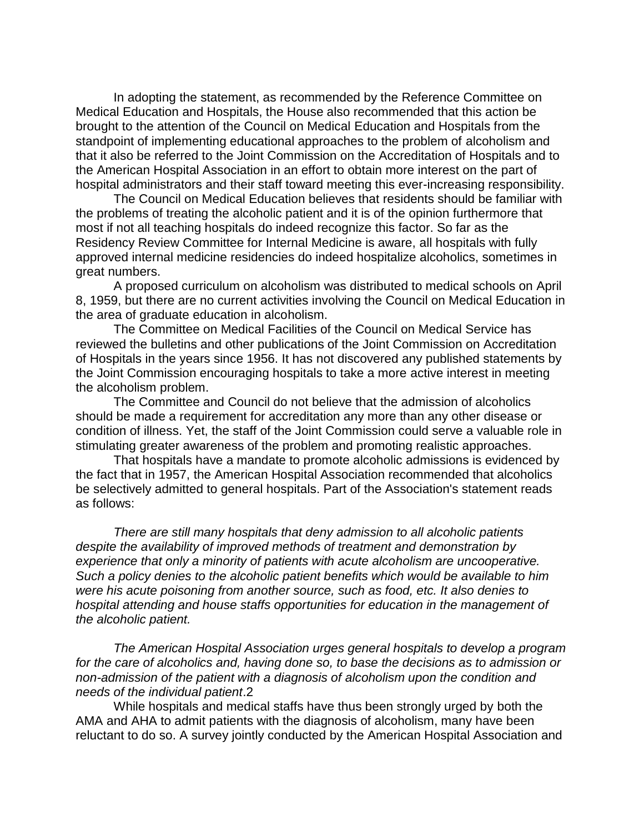In adopting the statement, as recommended by the Reference Committee on Medical Education and Hospitals, the House also recommended that this action be brought to the attention of the Council on Medical Education and Hospitals from the standpoint of implementing educational approaches to the problem of alcoholism and that it also be referred to the Joint Commission on the Accreditation of Hospitals and to the American Hospital Association in an effort to obtain more interest on the part of hospital administrators and their staff toward meeting this ever-increasing responsibility.

The Council on Medical Education believes that residents should be familiar with the problems of treating the alcoholic patient and it is of the opinion furthermore that most if not all teaching hospitals do indeed recognize this factor. So far as the Residency Review Committee for Internal Medicine is aware, all hospitals with fully approved internal medicine residencies do indeed hospitalize alcoholics, sometimes in great numbers.

A proposed curriculum on alcoholism was distributed to medical schools on April 8, 1959, but there are no current activities involving the Council on Medical Education in the area of graduate education in alcoholism.

The Committee on Medical Facilities of the Council on Medical Service has reviewed the bulletins and other publications of the Joint Commission on Accreditation of Hospitals in the years since 1956. It has not discovered any published statements by the Joint Commission encouraging hospitals to take a more active interest in meeting the alcoholism problem.

The Committee and Council do not believe that the admission of alcoholics should be made a requirement for accreditation any more than any other disease or condition of illness. Yet, the staff of the Joint Commission could serve a valuable role in stimulating greater awareness of the problem and promoting realistic approaches.

That hospitals have a mandate to promote alcoholic admissions is evidenced by the fact that in 1957, the American Hospital Association recommended that alcoholics be selectively admitted to general hospitals. Part of the Association's statement reads as follows:

*There are still many hospitals that deny admission to all alcoholic patients despite the availability of improved methods of treatment and demonstration by experience that only a minority of patients with acute alcoholism are uncooperative. Such a policy denies to the alcoholic patient benefits which would be available to him were his acute poisoning from another source, such as food, etc. It also denies to hospital attending and house staffs opportunities for education in the management of the alcoholic patient.*

*The American Hospital Association urges general hospitals to develop a program for the care of alcoholics and, having done so, to base the decisions as to admission or non-admission of the patient with a diagnosis of alcoholism upon the condition and needs of the individual patient*.2

While hospitals and medical staffs have thus been strongly urged by both the AMA and AHA to admit patients with the diagnosis of alcoholism, many have been reluctant to do so. A survey jointly conducted by the American Hospital Association and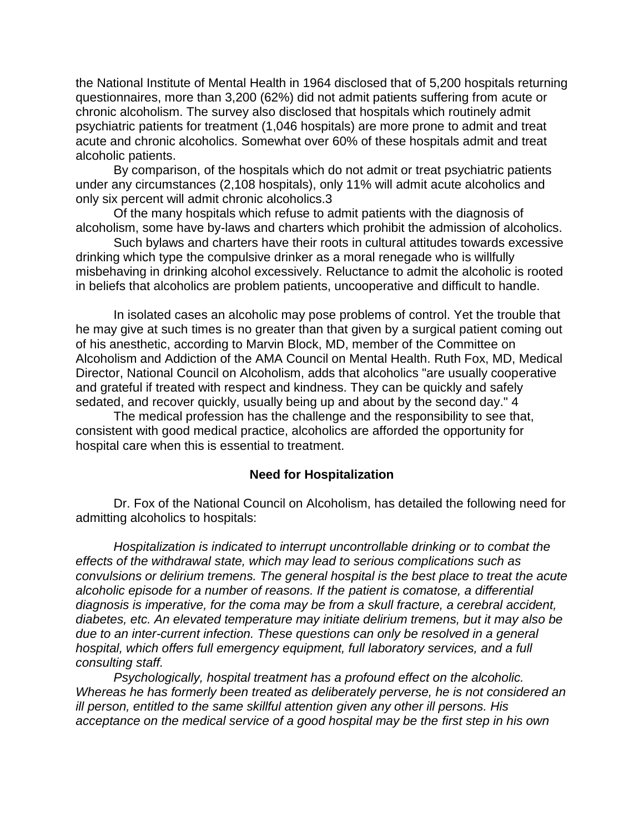the National Institute of Mental Health in 1964 disclosed that of 5,200 hospitals returning questionnaires, more than 3,200 (62%) did not admit patients suffering from acute or chronic alcoholism. The survey also disclosed that hospitals which routinely admit psychiatric patients for treatment (1,046 hospitals) are more prone to admit and treat acute and chronic alcoholics. Somewhat over 60% of these hospitals admit and treat alcoholic patients.

By comparison, of the hospitals which do not admit or treat psychiatric patients under any circumstances (2,108 hospitals), only 11% will admit acute alcoholics and only six percent will admit chronic alcoholics.3

Of the many hospitals which refuse to admit patients with the diagnosis of alcoholism, some have by-laws and charters which prohibit the admission of alcoholics.

Such bylaws and charters have their roots in cultural attitudes towards excessive drinking which type the compulsive drinker as a moral renegade who is willfully misbehaving in drinking alcohol excessively. Reluctance to admit the alcoholic is rooted in beliefs that alcoholics are problem patients, uncooperative and difficult to handle.

In isolated cases an alcoholic may pose problems of control. Yet the trouble that he may give at such times is no greater than that given by a surgical patient coming out of his anesthetic, according to Marvin Block, MD, member of the Committee on Alcoholism and Addiction of the AMA Council on Mental Health. Ruth Fox, MD, Medical Director, National Council on Alcoholism, adds that alcoholics "are usually cooperative and grateful if treated with respect and kindness. They can be quickly and safely sedated, and recover quickly, usually being up and about by the second day." 4

The medical profession has the challenge and the responsibility to see that, consistent with good medical practice, alcoholics are afforded the opportunity for hospital care when this is essential to treatment.

### **Need for Hospitalization**

Dr. Fox of the National Council on Alcoholism, has detailed the following need for admitting alcoholics to hospitals:

*Hospitalization is indicated to interrupt uncontrollable drinking or to combat the effects of the withdrawal state, which may lead to serious complications such as convulsions or delirium tremens. The general hospital is the best place to treat the acute alcoholic episode for a number of reasons. If the patient is comatose, a differential diagnosis is imperative, for the coma may be from a skull fracture, a cerebral accident, diabetes, etc. An elevated temperature may initiate delirium tremens, but it may also be due to an inter-current infection. These questions can only be resolved in a general hospital, which offers full emergency equipment, full laboratory services, and a full consulting staff.*

*Psychologically, hospital treatment has a profound effect on the alcoholic. Whereas he has formerly been treated as deliberately perverse, he is not considered an ill person, entitled to the same skillful attention given any other ill persons. His acceptance on the medical service of a good hospital may be the first step in his own*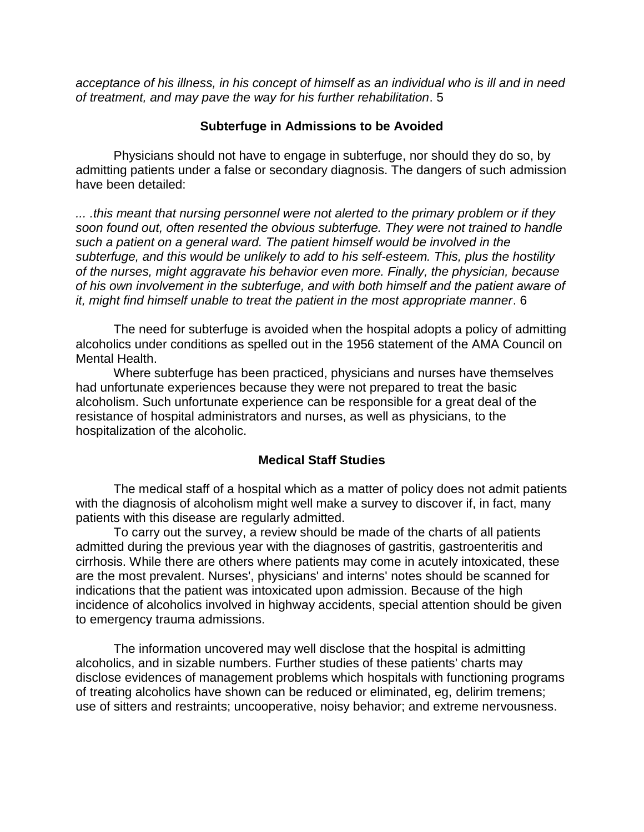*acceptance of his illness, in his concept of himself as an individual who is ill and in need of treatment, and may pave the way for his further rehabilitation*. 5

## **Subterfuge in Admissions to be Avoided**

Physicians should not have to engage in subterfuge, nor should they do so, by admitting patients under a false or secondary diagnosis. The dangers of such admission have been detailed:

*... .this meant that nursing personnel were not alerted to the primary problem or if they soon found out, often resented the obvious subterfuge. They were not trained to handle such a patient on a general ward. The patient himself would be involved in the subterfuge, and this would be unlikely to add to his self-esteem. This, plus the hostility of the nurses, might aggravate his behavior even more. Finally, the physician, because of his own involvement in the subterfuge, and with both himself and the patient aware of it, might find himself unable to treat the patient in the most appropriate manner*. 6

The need for subterfuge is avoided when the hospital adopts a policy of admitting alcoholics under conditions as spelled out in the 1956 statement of the AMA Council on Mental Health.

Where subterfuge has been practiced, physicians and nurses have themselves had unfortunate experiences because they were not prepared to treat the basic alcoholism. Such unfortunate experience can be responsible for a great deal of the resistance of hospital administrators and nurses, as well as physicians, to the hospitalization of the alcoholic.

## **Medical Staff Studies**

The medical staff of a hospital which as a matter of policy does not admit patients with the diagnosis of alcoholism might well make a survey to discover if, in fact, many patients with this disease are regularly admitted.

To carry out the survey, a review should be made of the charts of all patients admitted during the previous year with the diagnoses of gastritis, gastroenteritis and cirrhosis. While there are others where patients may come in acutely intoxicated, these are the most prevalent. Nurses', physicians' and interns' notes should be scanned for indications that the patient was intoxicated upon admission. Because of the high incidence of alcoholics involved in highway accidents, special attention should be given to emergency trauma admissions.

The information uncovered may well disclose that the hospital is admitting alcoholics, and in sizable numbers. Further studies of these patients' charts may disclose evidences of management problems which hospitals with functioning programs of treating alcoholics have shown can be reduced or eliminated, eg, delirim tremens; use of sitters and restraints; uncooperative, noisy behavior; and extreme nervousness.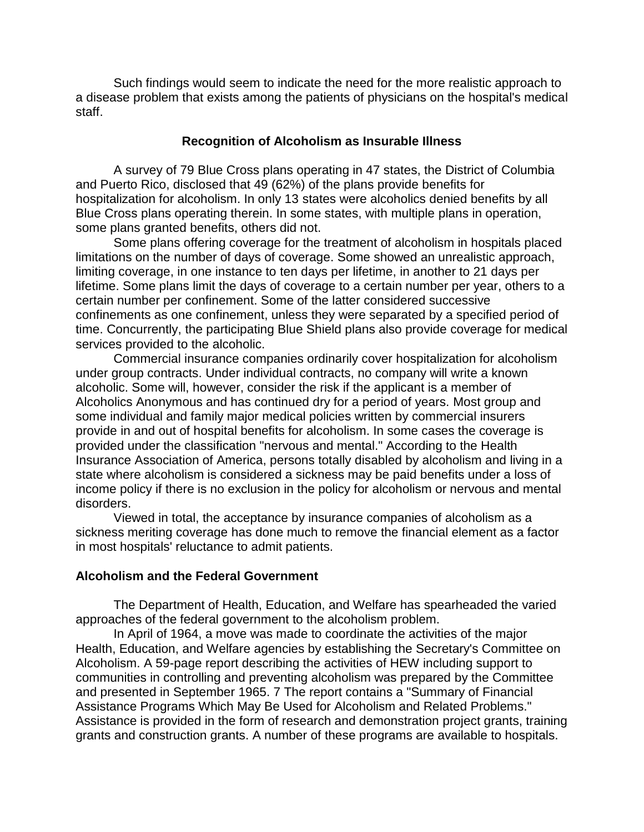Such findings would seem to indicate the need for the more realistic approach to a disease problem that exists among the patients of physicians on the hospital's medical staff.

#### **Recognition of Alcoholism as Insurable Illness**

A survey of 79 Blue Cross plans operating in 47 states, the District of Columbia and Puerto Rico, disclosed that 49 (62%) of the plans provide benefits for hospitalization for alcoholism. In only 13 states were alcoholics denied benefits by all Blue Cross plans operating therein. In some states, with multiple plans in operation, some plans granted benefits, others did not.

Some plans offering coverage for the treatment of alcoholism in hospitals placed limitations on the number of days of coverage. Some showed an unrealistic approach, limiting coverage, in one instance to ten days per lifetime, in another to 21 days per lifetime. Some plans limit the days of coverage to a certain number per year, others to a certain number per confinement. Some of the latter considered successive confinements as one confinement, unless they were separated by a specified period of time. Concurrently, the participating Blue Shield plans also provide coverage for medical services provided to the alcoholic.

Commercial insurance companies ordinarily cover hospitalization for alcoholism under group contracts. Under individual contracts, no company will write a known alcoholic. Some will, however, consider the risk if the applicant is a member of Alcoholics Anonymous and has continued dry for a period of years. Most group and some individual and family major medical policies written by commercial insurers provide in and out of hospital benefits for alcoholism. In some cases the coverage is provided under the classification "nervous and mental." According to the Health Insurance Association of America, persons totally disabled by alcoholism and living in a state where alcoholism is considered a sickness may be paid benefits under a loss of income policy if there is no exclusion in the policy for alcoholism or nervous and mental disorders.

Viewed in total, the acceptance by insurance companies of alcoholism as a sickness meriting coverage has done much to remove the financial element as a factor in most hospitals' reluctance to admit patients.

#### **Alcoholism and the Federal Government**

The Department of Health, Education, and Welfare has spearheaded the varied approaches of the federal government to the alcoholism problem.

In April of 1964, a move was made to coordinate the activities of the major Health, Education, and Welfare agencies by establishing the Secretary's Committee on Alcoholism. A 59-page report describing the activities of HEW including support to communities in controlling and preventing alcoholism was prepared by the Committee and presented in September 1965. 7 The report contains a "Summary of Financial Assistance Programs Which May Be Used for Alcoholism and Related Problems." Assistance is provided in the form of research and demonstration project grants, training grants and construction grants. A number of these programs are available to hospitals.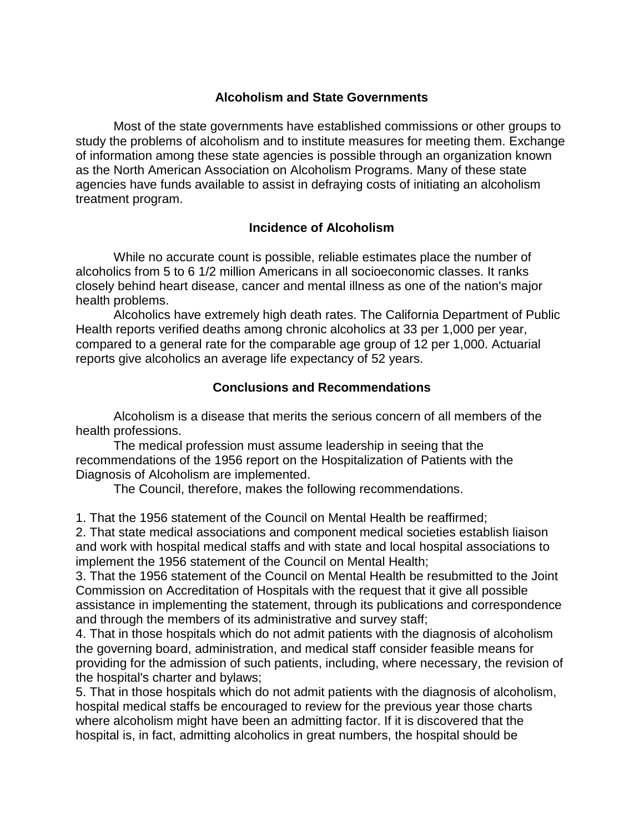## **Alcoholism and State Governments**

Most of the state governments have established commissions or other groups to study the problems of alcoholism and to institute measures for meeting them. Exchange of information among these state agencies is possible through an organization known as the North American Association on Alcoholism Programs. Many of these state agencies have funds available to assist in defraying costs of initiating an alcoholism treatment program.

## **Incidence of Alcoholism**

While no accurate count is possible, reliable estimates place the number of alcoholics from 5 to 6 1/2 million Americans in all socioeconomic classes. It ranks closely behind heart disease, cancer and mental illness as one of the nation's major health problems.

Alcoholics have extremely high death rates. The California Department of Public Health reports verified deaths among chronic alcoholics at 33 per 1,000 per year, compared to a general rate for the comparable age group of 12 per 1,000. Actuarial reports give alcoholics an average life expectancy of 52 years.

## **Conclusions and Recommendations**

Alcoholism is a disease that merits the serious concern of all members of the health professions.

The medical profession must assume leadership in seeing that the recommendations of the 1956 report on the Hospitalization of Patients with the Diagnosis of Alcoholism are implemented.

The Council, therefore, makes the following recommendations.

1. That the 1956 statement of the Council on Mental Health be reaffirmed;

2. That state medical associations and component medical societies establish liaison and work with hospital medical staffs and with state and local hospital associations to implement the 1956 statement of the Council on Mental Health;

3. That the 1956 statement of the Council on Mental Health be resubmitted to the Joint Commission on Accreditation of Hospitals with the request that it give all possible assistance in implementing the statement, through its publications and correspondence and through the members of its administrative and survey staff;

4. That in those hospitals which do not admit patients with the diagnosis of alcoholism the governing board, administration, and medical staff consider feasible means for providing for the admission of such patients, including, where necessary, the revision of the hospital's charter and bylaws;

5. That in those hospitals which do not admit patients with the diagnosis of alcoholism, hospital medical staffs be encouraged to review for the previous year those charts where alcoholism might have been an admitting factor. If it is discovered that the hospital is, in fact, admitting alcoholics in great numbers, the hospital should be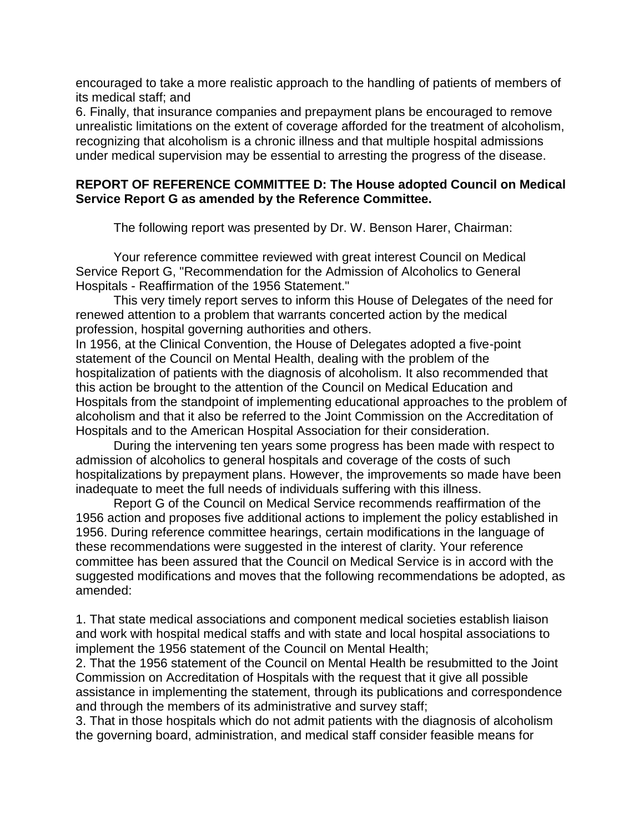encouraged to take a more realistic approach to the handling of patients of members of its medical staff; and

6. Finally, that insurance companies and prepayment plans be encouraged to remove unrealistic limitations on the extent of coverage afforded for the treatment of alcoholism, recognizing that alcoholism is a chronic illness and that multiple hospital admissions under medical supervision may be essential to arresting the progress of the disease.

## **REPORT OF REFERENCE COMMITTEE D: The House adopted Council on Medical Service Report G as amended by the Reference Committee.**

The following report was presented by Dr. W. Benson Harer, Chairman:

Your reference committee reviewed with great interest Council on Medical Service Report G, "Recommendation for the Admission of Alcoholics to General Hospitals - Reaffirmation of the 1956 Statement."

This very timely report serves to inform this House of Delegates of the need for renewed attention to a problem that warrants concerted action by the medical profession, hospital governing authorities and others.

In 1956, at the Clinical Convention, the House of Delegates adopted a five-point statement of the Council on Mental Health, dealing with the problem of the hospitalization of patients with the diagnosis of alcoholism. It also recommended that this action be brought to the attention of the Council on Medical Education and Hospitals from the standpoint of implementing educational approaches to the problem of alcoholism and that it also be referred to the Joint Commission on the Accreditation of Hospitals and to the American Hospital Association for their consideration.

During the intervening ten years some progress has been made with respect to admission of alcoholics to general hospitals and coverage of the costs of such hospitalizations by prepayment plans. However, the improvements so made have been inadequate to meet the full needs of individuals suffering with this illness.

Report G of the Council on Medical Service recommends reaffirmation of the 1956 action and proposes five additional actions to implement the policy established in 1956. During reference committee hearings, certain modifications in the language of these recommendations were suggested in the interest of clarity. Your reference committee has been assured that the Council on Medical Service is in accord with the suggested modifications and moves that the following recommendations be adopted, as amended:

1. That state medical associations and component medical societies establish liaison and work with hospital medical staffs and with state and local hospital associations to implement the 1956 statement of the Council on Mental Health;

2. That the 1956 statement of the Council on Mental Health be resubmitted to the Joint Commission on Accreditation of Hospitals with the request that it give all possible assistance in implementing the statement, through its publications and correspondence and through the members of its administrative and survey staff;

3. That in those hospitals which do not admit patients with the diagnosis of alcoholism the governing board, administration, and medical staff consider feasible means for